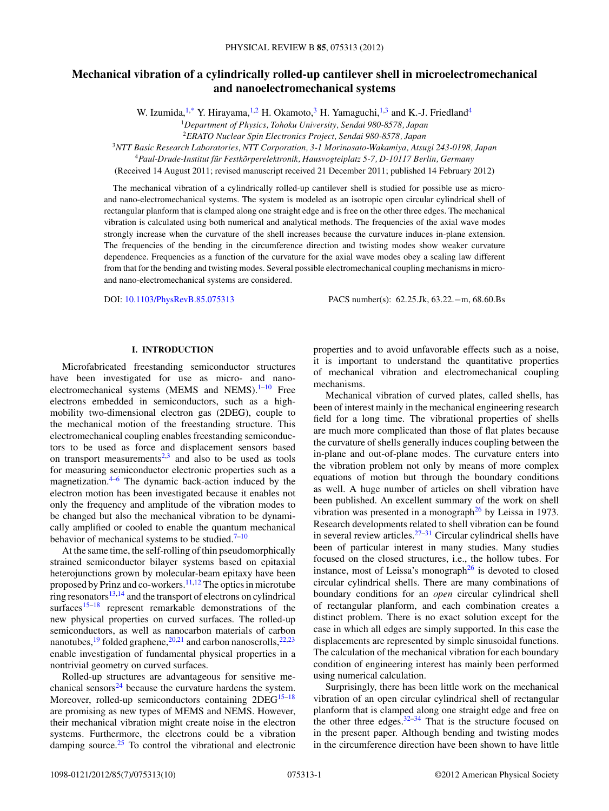# **Mechanical vibration of a cylindrically rolled-up cantilever shell in microelectromechanical and nanoelectromechanical systems**

W. Izumida, $1$ <sup>\*</sup> Y. Hirayama, $1$ <sup>2</sup> H. Okamoto,<sup>3</sup> H. Yamaguchi, $1$ <sup>3</sup> and K.-J. Friedland<sup>4</sup>

<sup>1</sup>*Department of Physics, Tohoku University, Sendai 980-8578, Japan*

<sup>2</sup>*ERATO Nuclear Spin Electronics Project, Sendai 980-8578, Japan*

<sup>3</sup>*NTT Basic Research Laboratories, NTT Corporation, 3-1 Morinosato-Wakamiya, Atsugi 243-0198, Japan*

<sup>4</sup>*Paul-Drude-Institut fur Festk ¨ orperelektronik, Hausvogteiplatz 5-7, D-10117 Berlin, Germany ¨*

(Received 14 August 2011; revised manuscript received 21 December 2011; published 14 February 2012)

The mechanical vibration of a cylindrically rolled-up cantilever shell is studied for possible use as microand nano-electromechanical systems. The system is modeled as an isotropic open circular cylindrical shell of rectangular planform that is clamped along one straight edge and is free on the other three edges. The mechanical vibration is calculated using both numerical and analytical methods. The frequencies of the axial wave modes strongly increase when the curvature of the shell increases because the curvature induces in-plane extension. The frequencies of the bending in the circumference direction and twisting modes show weaker curvature dependence. Frequencies as a function of the curvature for the axial wave modes obey a scaling law different from that for the bending and twisting modes. Several possible electromechanical coupling mechanisms in microand nano-electromechanical systems are considered.

DOI: [10.1103/PhysRevB.85.075313](http://dx.doi.org/10.1103/PhysRevB.85.075313) PACS number(s): 62*.*25*.*Jk, 63*.*22*.*−m, 68*.*60*.*Bs

# **I. INTRODUCTION**

Microfabricated freestanding semiconductor structures have been investigated for use as micro- and nanoelectromechanical systems (MEMS and NEMS). $1-10$  Free electrons embedded in semiconductors, such as a highmobility two-dimensional electron gas (2DEG), couple to the mechanical motion of the freestanding structure. This electromechanical coupling enables freestanding semiconductors to be used as force and displacement sensors based on transport measurements<sup>2,3</sup> and also to be used as tools for measuring semiconductor electronic properties such as a magnetization. $4-6$  The dynamic back-action induced by the electron motion has been investigated because it enables not only the frequency and amplitude of the vibration modes to be changed but also the mechanical vibration to be dynamically amplified or cooled to enable the quantum mechanical behavior of mechanical systems to be studied. $7-10$ 

At the same time, the self-rolling of thin pseudomorphically strained semiconductor bilayer systems based on epitaxial heterojunctions grown by molecular-beam epitaxy have been proposed by Prinz and co-workers.<sup>11,12</sup> The optics in microtube ring resonators $13,14$  and the transport of electrons on cylindrical surfaces $15-18$  represent remarkable demonstrations of the new physical properties on curved surfaces. The rolled-up semiconductors, as well as nanocarbon materials of carbon nanotubes, $^{19}$  folded graphene, $^{20,21}$  $^{20,21}$  $^{20,21}$  and carbon nanoscrolls, $^{22,23}$  $^{22,23}$  $^{22,23}$ enable investigation of fundamental physical properties in a nontrivial geometry on curved surfaces.

Rolled-up structures are advantageous for sensitive mechanical sensors $^{24}$  $^{24}$  $^{24}$  because the curvature hardens the system. Moreover, rolled-up semiconductors containing  $2DEG<sup>15-18</sup>$ are promising as new types of MEMS and NEMS. However, their mechanical vibration might create noise in the electron systems. Furthermore, the electrons could be a vibration damping source[.25](#page-9-0) To control the vibrational and electronic properties and to avoid unfavorable effects such as a noise, it is important to understand the quantitative properties of mechanical vibration and electromechanical coupling mechanisms.

Mechanical vibration of curved plates, called shells, has been of interest mainly in the mechanical engineering research field for a long time. The vibrational properties of shells are much more complicated than those of flat plates because the curvature of shells generally induces coupling between the in-plane and out-of-plane modes. The curvature enters into the vibration problem not only by means of more complex equations of motion but through the boundary conditions as well. A huge number of articles on shell vibration have been published. An excellent summary of the work on shell vibration was presented in a monograph<sup>[26](#page-9-0)</sup> by Leissa in 1973. Research developments related to shell vibration can be found in several review articles. $27-31$  Circular cylindrical shells have been of particular interest in many studies. Many studies focused on the closed structures, i.e., the hollow tubes. For instance, most of Leissa's monograph<sup>26</sup> is devoted to closed circular cylindrical shells. There are many combinations of boundary conditions for an *open* circular cylindrical shell of rectangular planform, and each combination creates a distinct problem. There is no exact solution except for the case in which all edges are simply supported. In this case the displacements are represented by simple sinusoidal functions. The calculation of the mechanical vibration for each boundary condition of engineering interest has mainly been performed using numerical calculation.

Surprisingly, there has been little work on the mechanical vibration of an open circular cylindrical shell of rectangular planform that is clamped along one straight edge and free on the other three edges.  $32-34$  That is the structure focused on in the present paper. Although bending and twisting modes in the circumference direction have been shown to have little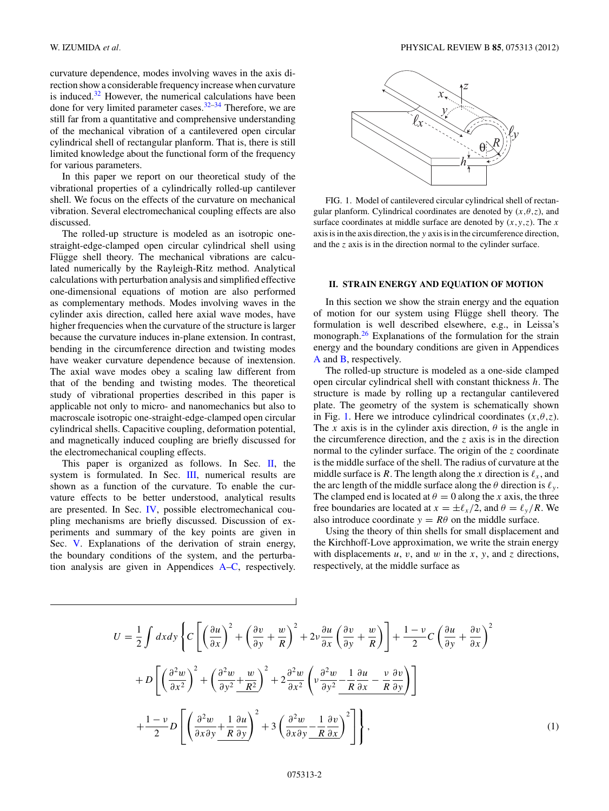<span id="page-1-0"></span>curvature dependence, modes involving waves in the axis direction show a considerable frequency increase when curvature is induced. $32$  However, the numerical calculations have been done for very limited parameter cases[.32–34](#page-9-0) Therefore, we are still far from a quantitative and comprehensive understanding of the mechanical vibration of a cantilevered open circular cylindrical shell of rectangular planform. That is, there is still limited knowledge about the functional form of the frequency for various parameters.

In this paper we report on our theoretical study of the vibrational properties of a cylindrically rolled-up cantilever shell. We focus on the effects of the curvature on mechanical vibration. Several electromechanical coupling effects are also discussed.

The rolled-up structure is modeled as an isotropic onestraight-edge-clamped open circular cylindrical shell using Flügge shell theory. The mechanical vibrations are calculated numerically by the Rayleigh-Ritz method. Analytical calculations with perturbation analysis and simplified effective one-dimensional equations of motion are also performed as complementary methods. Modes involving waves in the cylinder axis direction, called here axial wave modes, have higher frequencies when the curvature of the structure is larger because the curvature induces in-plane extension. In contrast, bending in the circumference direction and twisting modes have weaker curvature dependence because of inextension. The axial wave modes obey a scaling law different from that of the bending and twisting modes. The theoretical study of vibrational properties described in this paper is applicable not only to micro- and nanomechanics but also to macroscale isotropic one-straight-edge-clamped open circular cylindrical shells. Capacitive coupling, deformation potential, and magnetically induced coupling are briefly discussed for the electromechanical coupling effects.

This paper is organized as follows. In Sec. II, the system is formulated. In Sec. [III,](#page-2-0) numerical results are shown as a function of the curvature. To enable the curvature effects to be better understood, analytical results are presented. In Sec. [IV,](#page-5-0) possible electromechanical coupling mechanisms are briefly discussed. Discussion of experiments and summary of the key points are given in Sec. [V.](#page-6-0) Explanations of the derivation of strain energy, the boundary conditions of the system, and the perturbation analysis are given in Appendices [A–](#page-7-0)[C,](#page-8-0) respectively.



FIG. 1. Model of cantilevered circular cylindrical shell of rectangular planform. Cylindrical coordinates are denoted by  $(x, \theta, z)$ , and surface coordinates at middle surface are denoted by (*x,y,z*). The *x* axis is in the axis direction, the *y* axis is in the circumference direction, and the *z* axis is in the direction normal to the cylinder surface.

#### **II. STRAIN ENERGY AND EQUATION OF MOTION**

In this section we show the strain energy and the equation of motion for our system using Flügge shell theory. The formulation is well described elsewhere, e.g., in Leissa's monograph.<sup>[26](#page-9-0)</sup> Explanations of the formulation for the strain energy and the boundary conditions are given in Appendices [A](#page-7-0) and [B,](#page-7-0) respectively.

The rolled-up structure is modeled as a one-side clamped open circular cylindrical shell with constant thickness *h*. The structure is made by rolling up a rectangular cantilevered plate. The geometry of the system is schematically shown in Fig. 1. Here we introduce cylindrical coordinates  $(x, \theta, z)$ . The *x* axis is in the cylinder axis direction,  $\theta$  is the angle in the circumference direction, and the *z* axis is in the direction normal to the cylinder surface. The origin of the *z* coordinate is the middle surface of the shell. The radius of curvature at the middle surface is *R*. The length along the *x* direction is  $\ell_x$ , and the arc length of the middle surface along the  $\theta$  direction is  $\ell_{\nu}$ . The clamped end is located at  $\theta = 0$  along the *x* axis, the three free boundaries are located at  $x = \pm \ell_x/2$ , and  $\theta = \ell_y/R$ . We also introduce coordinate  $y = R\theta$  on the middle surface.

Using the theory of thin shells for small displacement and the Kirchhoff-Love approximation, we write the strain energy with displacements  $u$ ,  $v$ , and  $w$  in the  $x$ ,  $y$ , and  $z$  directions, respectively, at the middle surface as

$$
U = \frac{1}{2} \int dx dy \left\{ C \left[ \left( \frac{\partial u}{\partial x} \right)^2 + \left( \frac{\partial v}{\partial y} + \frac{w}{R} \right)^2 + 2v \frac{\partial u}{\partial x} \left( \frac{\partial v}{\partial y} + \frac{w}{R} \right) \right] + \frac{1 - v}{2} C \left( \frac{\partial u}{\partial y} + \frac{\partial v}{\partial x} \right)^2
$$

$$
+ D \left[ \left( \frac{\partial^2 w}{\partial x^2} \right)^2 + \left( \frac{\partial^2 w}{\partial y^2} + \frac{w}{R^2} \right)^2 + 2 \frac{\partial^2 w}{\partial x^2} \left( v \frac{\partial^2 w}{\partial y^2} - \frac{1}{R} \frac{\partial u}{\partial x} - \frac{v}{R} \frac{\partial v}{\partial y} \right) \right]
$$

$$
+ \frac{1 - v}{2} D \left[ \left( \frac{\partial^2 w}{\partial x \partial y} + \frac{1}{R} \frac{\partial u}{\partial y} \right)^2 + 3 \left( \frac{\partial^2 w}{\partial x \partial y} - \frac{1}{R} \frac{\partial v}{\partial x} \right)^2 \right],
$$
(1)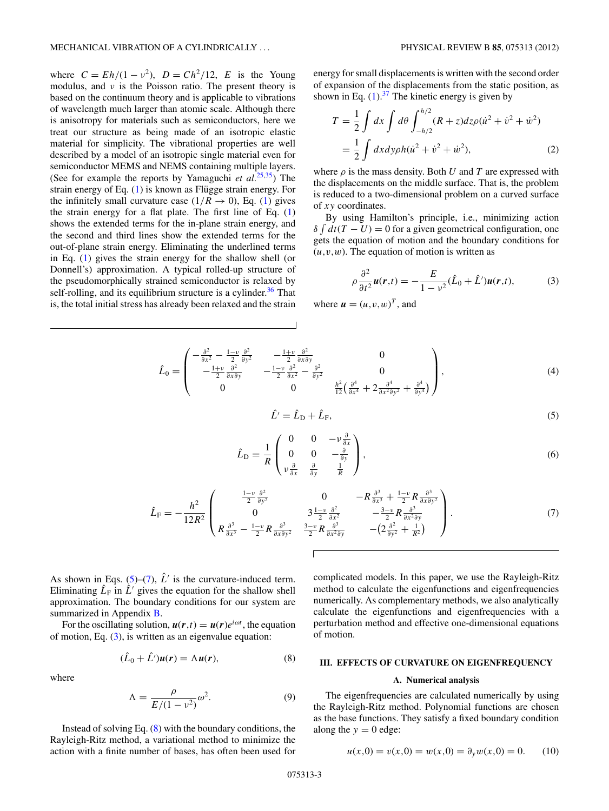<span id="page-2-0"></span>where  $C = Eh/(1 - v^2)$ ,  $D = Ch^2/12$ , *E* is the Young modulus, and *ν* is the Poisson ratio. The present theory is based on the continuum theory and is applicable to vibrations of wavelength much larger than atomic scale. Although there is anisotropy for materials such as semiconductors, here we treat our structure as being made of an isotropic elastic material for simplicity. The vibrational properties are well described by a model of an isotropic single material even for semiconductor MEMS and NEMS containing multiple layers. (See for example the reports by Yamaguchi *et al.*[25,35\)](#page-9-0) The strain energy of Eq.  $(1)$  is known as Flügge strain energy. For the infinitely small curvature case  $(1/R \rightarrow 0)$ , Eq. [\(1\)](#page-1-0) gives the strain energy for a flat plate. The first line of Eq.  $(1)$ shows the extended terms for the in-plane strain energy, and the second and third lines show the extended terms for the out-of-plane strain energy. Eliminating the underlined terms in Eq. [\(1\)](#page-1-0) gives the strain energy for the shallow shell (or Donnell's) approximation. A typical rolled-up structure of the pseudomorphically strained semiconductor is relaxed by self-rolling, and its equilibrium structure is a cylinder. $36$  That is, the total initial stress has already been relaxed and the strain energy for small displacements is written with the second order of expansion of the displacements from the static position, as shown in Eq.  $(1)$ .<sup>[37](#page-9-0)</sup> The kinetic energy is given by

$$
T = \frac{1}{2} \int dx \int d\theta \int_{-h/2}^{h/2} (R + z) dz \rho (\dot{u}^2 + \dot{v}^2 + \dot{w}^2)
$$
  
= 
$$
\frac{1}{2} \int dx dy \rho h (\dot{u}^2 + \dot{v}^2 + \dot{w}^2),
$$
 (2)

where  $\rho$  is the mass density. Both *U* and *T* are expressed with the displacements on the middle surface. That is, the problem is reduced to a two-dimensional problem on a curved surface of *xy* coordinates.

By using Hamilton's principle, i.e., minimizing action  $\delta \int dt (T - U) = 0$  for a given geometrical configuration, one gets the equation of motion and the boundary conditions for  $(u, v, w)$ . The equation of motion is written as

$$
\rho \frac{\partial^2}{\partial t^2} u(r,t) = -\frac{E}{1 - v^2} (\hat{L}_0 + \hat{L}') u(r,t),\tag{3}
$$

where  $\mathbf{u} = (u, v, w)^T$ , and

$$
\hat{L}_0 = \begin{pmatrix}\n-\frac{\partial^2}{\partial x^2} - \frac{1-\nu}{2} \frac{\partial^2}{\partial y^2} & -\frac{1+\nu}{2} \frac{\partial^2}{\partial x \partial y} & 0 \\
-\frac{1+\nu}{2} \frac{\partial^2}{\partial x \partial y} & -\frac{1-\nu}{2} \frac{\partial^2}{\partial x^2} - \frac{\partial^2}{\partial y^2} & 0 \\
0 & 0 & \frac{h^2}{12} \left(\frac{\partial^4}{\partial x^4} + 2 \frac{\partial^4}{\partial x^2 \partial y^2} + \frac{\partial^4}{\partial y^4}\right)\n\end{pmatrix},
$$
\n(4)

$$
\hat{L}' = \hat{L}_{\rm D} + \hat{L}_{\rm F},\tag{5}
$$

$$
\hat{L}_{\rm D} = \frac{1}{R} \begin{pmatrix} 0 & 0 & -\nu \frac{\partial}{\partial x} \\ 0 & 0 & -\frac{\partial}{\partial y} \\ \nu \frac{\partial}{\partial x} & \frac{\partial}{\partial y} & \frac{1}{R} \end{pmatrix},\tag{6}
$$

$$
\hat{L}_{\rm F} = -\frac{h^2}{12R^2} \begin{pmatrix} \frac{1-\nu}{2} \frac{\partial^2}{\partial y^2} & 0 & -R \frac{\partial^3}{\partial x^3} + \frac{1-\nu}{2} R \frac{\partial^3}{\partial x \partial y^2} \\ 0 & 3 \frac{1-\nu}{2} \frac{\partial^2}{\partial x^2} & -\frac{3-\nu}{2} R \frac{\partial^3}{\partial x^2 \partial y} \\ R \frac{\partial^3}{\partial x^3} - \frac{1-\nu}{2} R \frac{\partial^3}{\partial x \partial y^2} & \frac{3-\nu}{2} R \frac{\partial^3}{\partial x^2 \partial y} & -\left(2 \frac{\partial^2}{\partial y^2} + \frac{1}{R^2}\right) \end{pmatrix} . \tag{7}
$$

As shown in Eqs.  $(5)-(7)$ ,  $\hat{L}'$  is the curvature-induced term. Eliminating  $\hat{L}_F$  in  $\hat{L}'$  gives the equation for the shallow shell approximation. The boundary conditions for our system are summarized in Appendix [B.](#page-7-0)

For the oscillating solution,  $u(r,t) = u(r)e^{i\omega t}$ , the equation of motion, Eq.  $(3)$ , is written as an eigenvalue equation:

$$
(\hat{L}_0 + \hat{L}')u(r) = \Lambda u(r), \qquad (8)
$$

where

$$
\Lambda = \frac{\rho}{E/(1 - \nu^2)} \omega^2.
$$
\n(9)

Instead of solving Eq.  $(8)$  with the boundary conditions, the Rayleigh-Ritz method, a variational method to minimize the action with a finite number of bases, has often been used for complicated models. In this paper, we use the Rayleigh-Ritz method to calculate the eigenfunctions and eigenfrequencies numerically. As complementary methods, we also analytically calculate the eigenfunctions and eigenfrequencies with a perturbation method and effective one-dimensional equations of motion.

## **III. EFFECTS OF CURVATURE ON EIGENFREQUENCY**

## **A. Numerical analysis**

The eigenfrequencies are calculated numerically by using the Rayleigh-Ritz method. Polynomial functions are chosen as the base functions. They satisfy a fixed boundary condition along the  $y = 0$  edge:

$$
u(x,0) = v(x,0) = w(x,0) = \partial_y w(x,0) = 0. \tag{10}
$$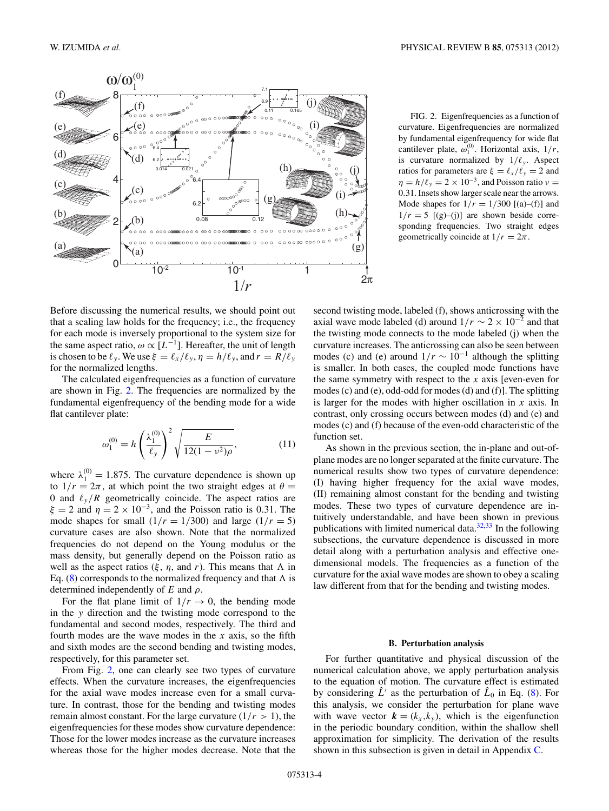<span id="page-3-0"></span>

Before discussing the numerical results, we should point out that a scaling law holds for the frequency; i.e., the frequency for each mode is inversely proportional to the system size for the same aspect ratio,  $\omega \propto [L^{-1}]$ . Hereafter, the unit of length is chosen to be  $\ell_y$ . We use  $\xi = \ell_x/\ell_y$ ,  $\eta = h/\ell_y$ , and  $r = R/\ell_y$ for the normalized lengths.

The calculated eigenfrequencies as a function of curvature are shown in Fig. 2. The frequencies are normalized by the fundamental eigenfrequency of the bending mode for a wide flat cantilever plate:

$$
\omega_1^{(0)} = h \left(\frac{\lambda_1^{(0)}}{\ell_y}\right)^2 \sqrt{\frac{E}{12(1 - \nu^2)\rho}},\tag{11}
$$

where  $\lambda_1^{(0)} = 1.875$ . The curvature dependence is shown up to  $1/r = 2\pi$ , at which point the two straight edges at  $\theta =$ 0 and  $\ell_y/R$  geometrically coincide. The aspect ratios are  $\xi = 2$  and  $\eta = 2 \times 10^{-3}$ , and the Poisson ratio is 0.31. The mode shapes for small  $(1/r = 1/300)$  and large  $(1/r = 5)$ curvature cases are also shown. Note that the normalized frequencies do not depend on the Young modulus or the mass density, but generally depend on the Poisson ratio as well as the aspect ratios  $(\xi, \eta, \text{ and } r)$ . This means that  $\Lambda$  in Eq. [\(8\)](#page-2-0) corresponds to the normalized frequency and that  $\Lambda$  is determined independently of *E* and *ρ*.

For the flat plane limit of  $1/r \rightarrow 0$ , the bending mode in the *y* direction and the twisting mode correspond to the fundamental and second modes, respectively. The third and fourth modes are the wave modes in the *x* axis, so the fifth and sixth modes are the second bending and twisting modes, respectively, for this parameter set.

From Fig. 2, one can clearly see two types of curvature effects. When the curvature increases, the eigenfrequencies for the axial wave modes increase even for a small curvature. In contrast, those for the bending and twisting modes remain almost constant. For the large curvature  $(1/r > 1)$ , the eigenfrequencies for these modes show curvature dependence: Those for the lower modes increase as the curvature increases whereas those for the higher modes decrease. Note that the

FIG. 2. Eigenfrequencies as a function of curvature. Eigenfrequencies are normalized by fundamental eigenfrequency for wide flat cantilever plate,  $\omega_1^{(0)}$ . Horizontal axis,  $1/r$ , is curvature normalized by  $1/\ell_y$ . Aspect ratios for parameters are  $\xi = \ell_x/\ell_y = 2$  and  $\eta = h/\ell_y = 2 \times 10^{-3}$ , and Poisson ratio  $\nu =$ 0*.*31. Insets show larger scale near the arrows. Mode shapes for  $1/r = 1/300$  [(a)–(f)] and  $1/r = 5$  [(g)–(j)] are shown beside corresponding frequencies. Two straight edges geometrically coincide at  $1/r = 2\pi$ .

second twisting mode, labeled (f), shows anticrossing with the axial wave mode labeled (d) around  $1/r \sim 2 \times 10^{-2}$  and that the twisting mode connects to the mode labeled (j) when the curvature increases. The anticrossing can also be seen between modes (c) and (e) around  $1/r \sim 10^{-1}$  although the splitting is smaller. In both cases, the coupled mode functions have the same symmetry with respect to the *x* axis [even-even for modes (c) and (e), odd-odd for modes (d) and (f)]. The splitting is larger for the modes with higher oscillation in *x* axis. In contrast, only crossing occurs between modes (d) and (e) and modes (c) and (f) because of the even-odd characteristic of the function set.

As shown in the previous section, the in-plane and out-ofplane modes are no longer separated at the finite curvature. The numerical results show two types of curvature dependence: (I) having higher frequency for the axial wave modes, (II) remaining almost constant for the bending and twisting modes. These two types of curvature dependence are intuitively understandable, and have been shown in previous publications with limited numerical data. $32,33$  In the following subsections, the curvature dependence is discussed in more detail along with a perturbation analysis and effective onedimensional models. The frequencies as a function of the curvature for the axial wave modes are shown to obey a scaling law different from that for the bending and twisting modes.

#### **B. Perturbation analysis**

For further quantitative and physical discussion of the numerical calculation above, we apply perturbation analysis to the equation of motion. The curvature effect is estimated by considering  $\hat{L}^{\prime}$  as the perturbation of  $\hat{L}_0$  in Eq. [\(8\)](#page-2-0). For this analysis, we consider the perturbation for plane wave with wave vector  $\mathbf{k} = (k_x, k_y)$ , which is the eigenfunction in the periodic boundary condition, within the shallow shell approximation for simplicity. The derivation of the results shown in this subsection is given in detail in Appendix [C.](#page-8-0)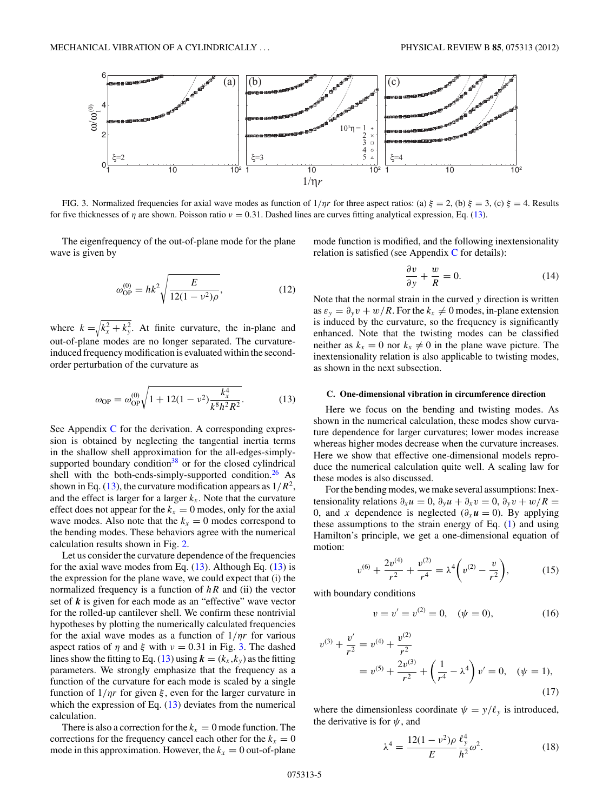<span id="page-4-0"></span>

FIG. 3. Normalized frequencies for axial wave modes as function of  $1/\eta r$  for three aspect ratios: (a)  $\xi = 2$ , (b)  $\xi = 3$ , (c)  $\xi = 4$ . Results for five thicknesses of *η* are shown. Poisson ratio  $ν = 0.31$ . Dashed lines are curves fitting analytical expression, Eq. (13).

The eigenfrequency of the out-of-plane mode for the plane wave is given by

$$
\omega_{\rm OP}^{(0)} = hk^2 \sqrt{\frac{E}{12(1 - v^2)\rho}},\tag{12}
$$

where  $k = \sqrt{k_x^2 + k_y^2}$ . At finite curvature, the in-plane and out-of-plane modes are no longer separated. The curvatureinduced frequency modification is evaluated within the secondorder perturbation of the curvature as

$$
\omega_{\rm OP} = \omega_{\rm OP}^{(0)} \sqrt{1 + 12(1 - \nu^2) \frac{k_x^4}{k^8 h^2 R^2}}.
$$
 (13)

See Appendix [C](#page-8-0) for the derivation. A corresponding expression is obtained by neglecting the tangential inertia terms in the shallow shell approximation for the all-edges-simplysupported boundary condition<sup>38</sup> or for the closed cylindrical shell with the both-ends-simply-supported condition.<sup>[26](#page-9-0)</sup> As shown in Eq. (13), the curvature modification appears as  $1/R<sup>2</sup>$ , and the effect is larger for a larger  $k_x$ . Note that the curvature effect does not appear for the  $k_x = 0$  modes, only for the axial wave modes. Also note that the  $k_x = 0$  modes correspond to the bending modes. These behaviors agree with the numerical calculation results shown in Fig. [2.](#page-3-0)

Let us consider the curvature dependence of the frequencies for the axial wave modes from Eq.  $(13)$ . Although Eq.  $(13)$  is the expression for the plane wave, we could expect that (i) the normalized frequency is a function of *hR* and (ii) the vector set of *k* is given for each mode as an "effective" wave vector for the rolled-up cantilever shell. We confirm these nontrivial hypotheses by plotting the numerically calculated frequencies for the axial wave modes as a function of 1*/ηr* for various aspect ratios of  $\eta$  and  $\xi$  with  $\nu = 0.31$  in Fig. 3. The dashed lines show the fitting to Eq. (13) using  $\mathbf{k} = (k_x, k_y)$  as the fitting parameters. We strongly emphasize that the frequency as a function of the curvature for each mode is scaled by a single function of 1*/ηr* for given *ξ* , even for the larger curvature in which the expression of Eq.  $(13)$  deviates from the numerical calculation.

There is also a correction for the  $k_x = 0$  mode function. The corrections for the frequency cancel each other for the  $k_x = 0$ mode in this approximation. However, the  $k_x = 0$  out-of-plane

mode function is modified, and the following inextensionality relation is satisfied (see Appendix  $C$  for details):

$$
\frac{\partial v}{\partial y} + \frac{w}{R} = 0.
$$
 (14)

Note that the normal strain in the curved *y* direction is written as  $\varepsilon_y = \partial_y v + w/R$ . For the  $k_x \neq 0$  modes, in-plane extension is induced by the curvature, so the frequency is significantly enhanced. Note that the twisting modes can be classified neither as  $k_x = 0$  nor  $k_x \neq 0$  in the plane wave picture. The inextensionality relation is also applicable to twisting modes, as shown in the next subsection.

#### **C. One-dimensional vibration in circumference direction**

Here we focus on the bending and twisting modes. As shown in the numerical calculation, these modes show curvature dependence for larger curvatures; lower modes increase whereas higher modes decrease when the curvature increases. Here we show that effective one-dimensional models reproduce the numerical calculation quite well. A scaling law for these modes is also discussed.

For the bending modes, we make several assumptions: Inextensionality relations  $\partial_x u = 0$ ,  $\partial_y u + \partial_x v = 0$ ,  $\partial_y v + w/R =$ 0, and *x* dependence is neglected ( $\partial_x$ *u* = 0). By applying these assumptions to the strain energy of Eq. [\(1\)](#page-1-0) and using Hamilton's principle, we get a one-dimensional equation of motion:

$$
v^{(6)} + \frac{2v^{(4)}}{r^2} + \frac{v^{(2)}}{r^4} = \lambda^4 \left(v^{(2)} - \frac{v}{r^2}\right),\tag{15}
$$

with boundary conditions

$$
v = v' = v^{(2)} = 0, \quad (\psi = 0), \tag{16}
$$

$$
v^{(3)} + \frac{v'}{r^2} = v^{(4)} + \frac{v^{(2)}}{r^2}
$$
  
=  $v^{(5)} + \frac{2v^{(3)}}{r^2} + \left(\frac{1}{r^4} - \lambda^4\right)v' = 0, \quad (\psi = 1),$  (17)

where the dimensionless coordinate  $\psi = y/\ell_y$  is introduced, the derivative is for  $\psi$ , and

$$
\lambda^4 = \frac{12(1 - v^2)\rho}{E} \frac{\ell_y^4}{h^2} \omega^2.
$$
 (18)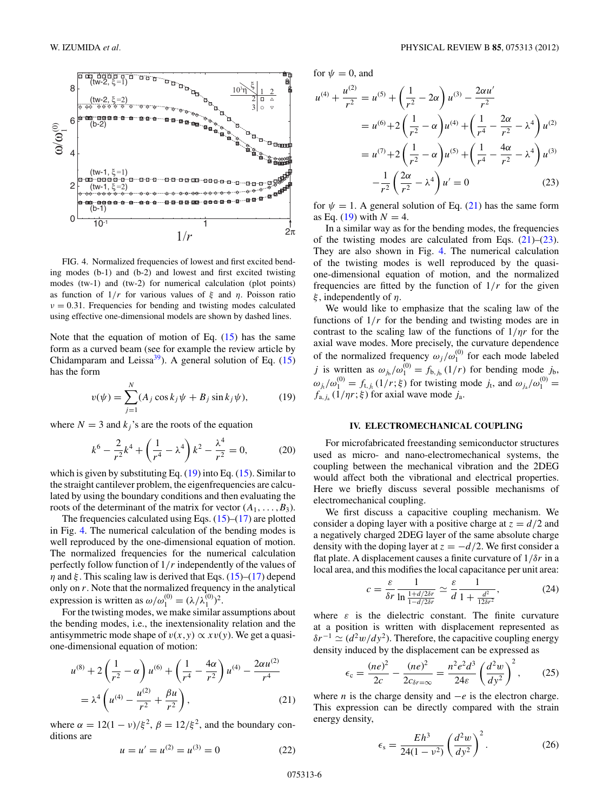<span id="page-5-0"></span>

FIG. 4. Normalized frequencies of lowest and first excited bending modes (b-1) and (b-2) and lowest and first excited twisting modes (tw-1) and (tw-2) for numerical calculation (plot points) as function of 1*/r* for various values of *ξ* and *η*. Poisson ratio  $\nu = 0.31$ . Frequencies for bending and twisting modes calculated using effective one-dimensional models are shown by dashed lines.

Note that the equation of motion of Eq.  $(15)$  has the same form as a curved beam (see for example the review article by Chidamparam and Leissa<sup>39</sup>). A general solution of Eq.  $(15)$ has the form

$$
v(\psi) = \sum_{j=1}^{N} (A_j \cos k_j \psi + B_j \sin k_j \psi),
$$
 (19)

where  $N = 3$  and  $k<sub>i</sub>$ 's are the roots of the equation

$$
k^{6} - \frac{2}{r^{2}}k^{4} + \left(\frac{1}{r^{4}} - \lambda^{4}\right)k^{2} - \frac{\lambda^{4}}{r^{2}} = 0,
$$
 (20)

which is given by substituting Eq.  $(19)$  into Eq.  $(15)$ . Similar to the straight cantilever problem, the eigenfrequencies are calculated by using the boundary conditions and then evaluating the roots of the determinant of the matrix for vector  $(A_1, \ldots, B_3)$ .

The frequencies calculated using Eqs.  $(15)$ – $(17)$  are plotted in Fig. 4. The numerical calculation of the bending modes is well reproduced by the one-dimensional equation of motion. The normalized frequencies for the numerical calculation perfectly follow function of 1*/r* independently of the values of *η* and *ξ*. This scaling law is derived that Eqs. [\(15\)](#page-4-0)–[\(17\)](#page-4-0) depend only on *r*. Note that the normalized frequency in the analytical expression is written as  $\omega/\omega_1^{(0)} = (\lambda/\lambda_1^{(0)})^2$ .

For the twisting modes, we make similar assumptions about the bending modes, i.e., the inextensionality relation and the antisymmetric mode shape of  $v(x, y) \propto xv(y)$ . We get a quasione-dimensional equation of motion:

$$
u^{(8)} + 2\left(\frac{1}{r^2} - \alpha\right)u^{(6)} + \left(\frac{1}{r^4} - \frac{4\alpha}{r^2}\right)u^{(4)} - \frac{2\alpha u^{(2)}}{r^4}
$$

$$
= \lambda^4 \left(u^{(4)} - \frac{u^{(2)}}{r^2} + \frac{\beta u}{r^2}\right), \tag{21}
$$

where  $\alpha = 12(1 - v)/\xi^2$ ,  $\beta = 12/\xi^2$ , and the boundary conditions are

for  $\psi = 0$ , and

$$
u^{(4)} + \frac{u^{(2)}}{r^2} = u^{(5)} + \left(\frac{1}{r^2} - 2\alpha\right)u^{(3)} - \frac{2\alpha u'}{r^2}
$$
  
=  $u^{(6)} + 2\left(\frac{1}{r^2} - \alpha\right)u^{(4)} + \left(\frac{1}{r^4} - \frac{2\alpha}{r^2} - \lambda^4\right)u^{(2)}$   
=  $u^{(7)} + 2\left(\frac{1}{r^2} - \alpha\right)u^{(5)} + \left(\frac{1}{r^4} - \frac{4\alpha}{r^2} - \lambda^4\right)u^{(3)}$   
 $-\frac{1}{r^2}\left(\frac{2\alpha}{r^2} - \lambda^4\right)u' = 0$  (23)

for  $\psi = 1$ . A general solution of Eq. (21) has the same form as Eq. (19) with  $N = 4$ .

In a similar way as for the bending modes, the frequencies of the twisting modes are calculated from Eqs.  $(21)$ – $(23)$ . They are also shown in Fig. 4. The numerical calculation of the twisting modes is well reproduced by the quasione-dimensional equation of motion, and the normalized frequencies are fitted by the function of  $1/r$  for the given *ξ* , independently of *η*.

We would like to emphasize that the scaling law of the functions of 1*/r* for the bending and twisting modes are in contrast to the scaling law of the functions of 1*/ηr* for the axial wave modes. More precisely, the curvature dependence of the normalized frequency  $\omega_j/\omega_1^{(0)}$  for each mode labeled *j* is written as  $\omega_{j_b}/\omega_1^{(0)} = f_{b,j_b}(1/r)$  for bending mode *j*<sub>b</sub>,  $\omega_{j_t}/\omega_1^{(0)} = f_{t,j_t}(1/r;\xi)$  for twisting mode  $j_t$ , and  $\omega_{j_a}/\omega_1^{(0)} =$  $f_{a,j_a}(1/\eta r;\xi)$  for axial wave mode  $j_a$ .

### **IV. ELECTROMECHANICAL COUPLING**

For microfabricated freestanding semiconductor structures used as micro- and nano-electromechanical systems, the coupling between the mechanical vibration and the 2DEG would affect both the vibrational and electrical properties. Here we briefly discuss several possible mechanisms of electromechanical coupling.

We first discuss a capacitive coupling mechanism. We consider a doping layer with a positive charge at  $z = d/2$  and a negatively charged 2DEG layer of the same absolute charge density with the doping layer at  $z = -d/2$ . We first consider a flat plate. A displacement causes a finite curvature of 1*/δr* in a local area, and this modifies the local capacitance per unit area:

$$
c = \frac{\varepsilon}{\delta r} \frac{1}{\ln \frac{1 + d/2\delta r}{1 - d/2\delta r}} \simeq \frac{\varepsilon}{d} \frac{1}{1 + \frac{d^2}{12\delta r^2}},\tag{24}
$$

where  $\varepsilon$  is the dielectric constant. The finite curvature at a position is written with displacement represented as  $\delta r^{-1} \simeq (d^2w/dy^2)$ . Therefore, the capacitive coupling energy density induced by the displacement can be expressed as

$$
\epsilon_{\rm c} = \frac{(ne)^2}{2c} - \frac{(ne)^2}{2c_{\delta r = \infty}} = \frac{n^2 e^2 d^3}{24\varepsilon} \left(\frac{d^2 w}{dy^2}\right)^2, \qquad (25)
$$

where *n* is the charge density and  $-e$  is the electron charge. This expression can be directly compared with the strain energy density,

$$
\epsilon_{\rm s} = \frac{Eh^3}{24(1 - v^2)} \left(\frac{d^2w}{dy^2}\right)^2.
$$
 (26)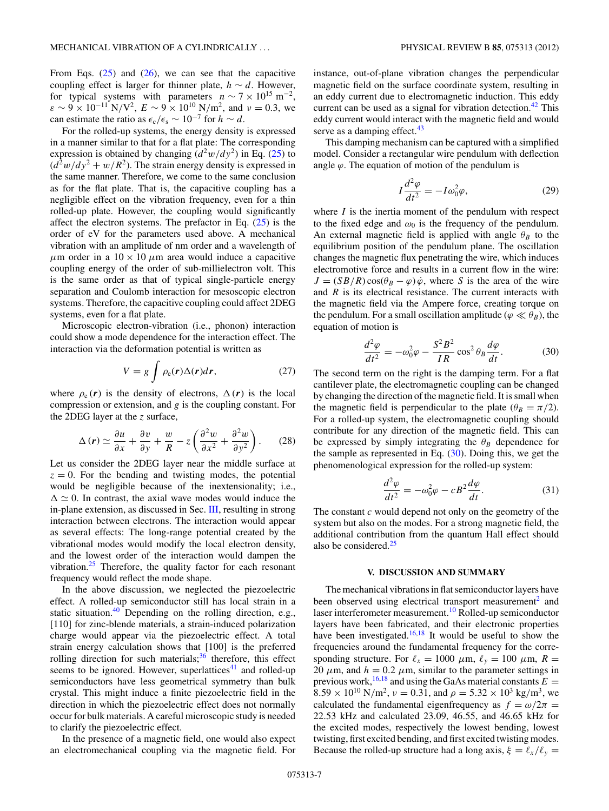<span id="page-6-0"></span>From Eqs.  $(25)$  and  $(26)$ , we can see that the capacitive coupling effect is larger for thinner plate,  $h \sim d$ . However, for typical systems with parameters  $n \sim 7 \times 10^{15}$  m<sup>-2</sup>,  $\varepsilon \sim 9 \times 10^{-11}$  N/V<sup>2</sup>,  $E \sim 9 \times 10^{10}$  N/m<sup>2</sup>, and  $v = 0.3$ , we can estimate the ratio as  $\epsilon_c/\epsilon_s \sim 10^{-7}$  for  $h \sim d$ .

For the rolled-up systems, the energy density is expressed in a manner similar to that for a flat plate: The corresponding expression is obtained by changing  $(d^2w/dy^2)$  in Eq. [\(25\)](#page-5-0) to  $(d^2w/dy^2 + w/R^2)$ . The strain energy density is expressed in the same manner. Therefore, we come to the same conclusion as for the flat plate. That is, the capacitive coupling has a negligible effect on the vibration frequency, even for a thin rolled-up plate. However, the coupling would significantly affect the electron systems. The prefactor in Eq.  $(25)$  is the order of eV for the parameters used above. A mechanical vibration with an amplitude of nm order and a wavelength of  $μ$ m order in a 10 × 10  $μ$ m area would induce a capacitive coupling energy of the order of sub-millielectron volt. This is the same order as that of typical single-particle energy separation and Coulomb interaction for mesoscopic electron systems. Therefore, the capacitive coupling could affect 2DEG systems, even for a flat plate.

Microscopic electron-vibration (i.e., phonon) interaction could show a mode dependence for the interaction effect. The interaction via the deformation potential is written as

$$
V = g \int \rho_{\rm e}(r) \Delta(r) dr, \qquad (27)
$$

where  $\rho_e(r)$  is the density of electrons,  $\Delta(r)$  is the local compression or extension, and *g* is the coupling constant. For the 2DEG layer at the *z* surface,

$$
\Delta(r) \simeq \frac{\partial u}{\partial x} + \frac{\partial v}{\partial y} + \frac{w}{R} - z \left( \frac{\partial^2 w}{\partial x^2} + \frac{\partial^2 w}{\partial y^2} \right). \tag{28}
$$

Let us consider the 2DEG layer near the middle surface at  $z = 0$ . For the bending and twisting modes, the potential would be negligible because of the inextensionality; i.e.,  $\Delta \simeq 0$ . In contrast, the axial wave modes would induce the in-plane extension, as discussed in Sec. [III,](#page-2-0) resulting in strong interaction between electrons. The interaction would appear as several effects: The long-range potential created by the vibrational modes would modify the local electron density, and the lowest order of the interaction would dampen the vibration.[25](#page-9-0) Therefore, the quality factor for each resonant frequency would reflect the mode shape.

In the above discussion, we neglected the piezoelectric effect. A rolled-up semiconductor still has local strain in a static situation.[40](#page-9-0) Depending on the rolling direction, e.g., [110] for zinc-blende materials, a strain-induced polarization charge would appear via the piezoelectric effect. A total strain energy calculation shows that [100] is the preferred rolling direction for such materials;  $36$  therefore, this effect seems to be ignored. However, superlattices $41$  and rolled-up semiconductors have less geometrical symmetry than bulk crystal. This might induce a finite piezoelectric field in the direction in which the piezoelectric effect does not normally occur for bulk materials. A careful microscopic study is needed to clarify the piezoelectric effect.

In the presence of a magnetic field, one would also expect an electromechanical coupling via the magnetic field. For instance, out-of-plane vibration changes the perpendicular magnetic field on the surface coordinate system, resulting in an eddy current due to electromagnetic induction. This eddy current can be used as a signal for vibration detection.<sup>[42](#page-9-0)</sup> This eddy current would interact with the magnetic field and would serve as a damping effect.<sup>43</sup>

This damping mechanism can be captured with a simplified model. Consider a rectangular wire pendulum with deflection angle  $\varphi$ . The equation of motion of the pendulum is

$$
I\frac{d^2\varphi}{dt^2} = -I\omega_0^2\varphi,\tag{29}
$$

where *I* is the inertia moment of the pendulum with respect to the fixed edge and  $\omega_0$  is the frequency of the pendulum. An external magnetic field is applied with angle  $\theta_B$  to the equilibrium position of the pendulum plane. The oscillation changes the magnetic flux penetrating the wire, which induces electromotive force and results in a current flow in the wire:  $J = (SB/R)\cos(\theta_B - \varphi)\dot{\varphi}$ , where *S* is the area of the wire and *R* is its electrical resistance. The current interacts with the magnetic field via the Ampere force, creating torque on the pendulum. For a small oscillation amplitude ( $\varphi \ll \theta_B$ ), the equation of motion is

$$
\frac{d^2\varphi}{dt^2} = -\omega_0^2\varphi - \frac{S^2B^2}{IR}\cos^2\theta_B\frac{d\varphi}{dt}.\tag{30}
$$

The second term on the right is the damping term. For a flat cantilever plate, the electromagnetic coupling can be changed by changing the direction of the magnetic field. It is small when the magnetic field is perpendicular to the plate  $(\theta_B = \pi/2)$ . For a rolled-up system, the electromagnetic coupling should contribute for any direction of the magnetic field. This can be expressed by simply integrating the  $\theta_B$  dependence for the sample as represented in Eq.  $(30)$ . Doing this, we get the phenomenological expression for the rolled-up system:

$$
\frac{d^2\varphi}{dt^2} = -\omega_0^2 \varphi - cB^2 \frac{d\varphi}{dt}.
$$
 (31)

The constant *c* would depend not only on the geometry of the system but also on the modes. For a strong magnetic field, the additional contribution from the quantum Hall effect should also be considered.<sup>25</sup>

#### **V. DISCUSSION AND SUMMARY**

The mechanical vibrations in flat semiconductor layers have been observed using electrical transport measurement<sup>2</sup> and laser interferometer measurement.<sup>10</sup> Rolled-up semiconductor layers have been fabricated, and their electronic properties have been investigated.<sup>16,18</sup> It would be useful to show the frequencies around the fundamental frequency for the corresponding structure. For  $\ell_x = 1000 \mu \text{m}$ ,  $\ell_y = 100 \mu \text{m}$ ,  $R =$ 20  $\mu$ m, and  $h = 0.2 \mu$ m, similar to the parameter settings in previous work,<sup>16,18</sup> and using the GaAs material constants  $E =$  $8.59 \times 10^{10}$  N/m<sup>2</sup>,  $\nu = 0.31$ , and  $\rho = 5.32 \times 10^3$  kg/m<sup>3</sup>, we calculated the fundamental eigenfrequency as  $f = \omega/2\pi$ 22*.*53 kHz and calculated 23*.*09, 46*.*55, and 46*.*65 kHz for the excited modes, respectively the lowest bending, lowest twisting, first excited bending, and first excited twisting modes. Because the rolled-up structure had a long axis,  $\xi = \ell_x/\ell_y$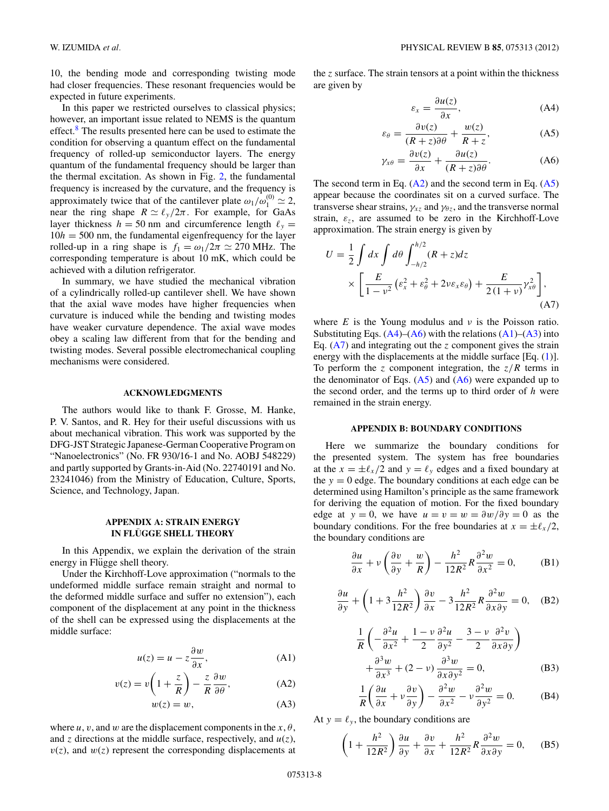<span id="page-7-0"></span>10, the bending mode and corresponding twisting mode had closer frequencies. These resonant frequencies would be expected in future experiments.

In this paper we restricted ourselves to classical physics; however, an important issue related to NEMS is the quantum effect.[8](#page-8-0) The results presented here can be used to estimate the condition for observing a quantum effect on the fundamental frequency of rolled-up semiconductor layers. The energy quantum of the fundamental frequency should be larger than the thermal excitation. As shown in Fig. [2,](#page-3-0) the fundamental frequency is increased by the curvature, and the frequency is approximately twice that of the cantilever plate  $\omega_1/\omega_1^{(0)} \simeq 2$ , near the ring shape  $R \simeq \ell_{\nu}/2\pi$ . For example, for GaAs layer thickness  $h = 50$  nm and circumference length  $\ell_{v} =$  $10h = 500$  nm, the fundamental eigenfrequency for the layer rolled-up in a ring shape is  $f_1 = \omega_1/2\pi \simeq 270$  MHz. The corresponding temperature is about 10 mK, which could be achieved with a dilution refrigerator.

In summary, we have studied the mechanical vibration of a cylindrically rolled-up cantilever shell. We have shown that the axial wave modes have higher frequencies when curvature is induced while the bending and twisting modes have weaker curvature dependence. The axial wave modes obey a scaling law different from that for the bending and twisting modes. Several possible electromechanical coupling mechanisms were considered.

## **ACKNOWLEDGMENTS**

The authors would like to thank F. Grosse, M. Hanke, P. V. Santos, and R. Hey for their useful discussions with us about mechanical vibration. This work was supported by the DFG-JST Strategic Japanese-German Cooperative Program on "Nanoelectronics" (No. FR 930/16-1 and No. AOBJ 548229) and partly supported by Grants-in-Aid (No. 22740191 and No. 23241046) from the Ministry of Education, Culture, Sports, Science, and Technology, Japan.

## **APPENDIX A: STRAIN ENERGY IN FLUGGE SHELL THEORY ¨**

In this Appendix, we explain the derivation of the strain energy in Flügge shell theory.

Under the Kirchhoff-Love approximation ("normals to the undeformed middle surface remain straight and normal to the deformed middle surface and suffer no extension"), each component of the displacement at any point in the thickness of the shell can be expressed using the displacements at the middle surface:

$$
u(z) = u - z \frac{\partial w}{\partial x}, \tag{A1}
$$

$$
v(z) = v\left(1 + \frac{z}{R}\right) - \frac{z}{R}\frac{\partial w}{\partial \theta},\tag{A2}
$$

$$
w(z) = w,\tag{A3}
$$

where  $u$ ,  $v$ , and  $w$  are the displacement components in the  $x$ ,  $\theta$ , and *z* directions at the middle surface, respectively, and  $u(z)$ ,  $v(z)$ , and  $w(z)$  represent the corresponding displacements at the *z* surface. The strain tensors at a point within the thickness are given by

$$
\varepsilon_x = \frac{\partial u(z)}{\partial x},\tag{A4}
$$

$$
\varepsilon_{\theta} = \frac{\partial v(z)}{(R+z)\partial \theta} + \frac{w(z)}{R+z},
$$
 (A5)

$$
\gamma_{x\theta} = \frac{\partial v(z)}{\partial x} + \frac{\partial u(z)}{(R+z)\partial \theta}.
$$
 (A6)

The second term in Eq.  $(A2)$  and the second term in Eq.  $(A5)$ appear because the coordinates sit on a curved surface. The transverse shear strains,  $\gamma_{xz}$  and  $\gamma_{\theta z}$ , and the transverse normal strain,  $\varepsilon_z$ , are assumed to be zero in the Kirchhoff-Love approximation. The strain energy is given by

$$
U = \frac{1}{2} \int dx \int d\theta \int_{-h/2}^{h/2} (R + z) dz
$$
  
 
$$
\times \left[ \frac{E}{1 - v^2} \left( \varepsilon_x^2 + \varepsilon_\theta^2 + 2\nu\varepsilon_x \varepsilon_\theta \right) + \frac{E}{2(1 + v)} \gamma_{x\theta}^2 \right],
$$
 (A7)

where *E* is the Young modulus and *ν* is the Poisson ratio. Substituting Eqs.  $(A4)$ – $(A6)$  with the relations  $(A1)$ – $(A3)$  into Eq. (A7) and integrating out the *z* component gives the strain energy with the displacements at the middle surface [Eq. [\(1\)](#page-1-0)]. To perform the *z* component integration, the  $z/R$  terms in the denominator of Eqs.  $(A5)$  and  $(A6)$  were expanded up to the second order, and the terms up to third order of *h* were remained in the strain energy.

#### **APPENDIX B: BOUNDARY CONDITIONS**

Here we summarize the boundary conditions for the presented system. The system has free boundaries at the  $x = \pm \ell_x/2$  and  $y = \ell_y$  edges and a fixed boundary at the  $y = 0$  edge. The boundary conditions at each edge can be determined using Hamilton's principle as the same framework for deriving the equation of motion. For the fixed boundary edge at  $y = 0$ , we have  $u = v = w = \frac{\partial w}{\partial y} = 0$  as the boundary conditions. For the free boundaries at  $x = \pm \ell_x/2$ , the boundary conditions are

$$
\frac{\partial u}{\partial x} + v \left( \frac{\partial v}{\partial y} + \frac{w}{R} \right) - \frac{h^2}{12R^2} R \frac{\partial^2 w}{\partial x^2} = 0, \quad \text{(B1)}
$$

$$
\frac{\partial u}{\partial y} + \left(1 + 3\frac{h^2}{12R^2}\right)\frac{\partial v}{\partial x} - 3\frac{h^2}{12R^2}R\frac{\partial^2 w}{\partial x \partial y} = 0, \quad (B2)
$$

$$
\frac{1}{R} \left( -\frac{\partial^2 u}{\partial x^2} + \frac{1 - v}{2} \frac{\partial^2 u}{\partial y^2} - \frac{3 - v}{2} \frac{\partial^2 v}{\partial x \partial y} \right) \n+ \frac{\partial^3 w}{\partial x^3} + (2 - v) \frac{\partial^3 w}{\partial x \partial y^2} = 0,
$$
\n(B3)

$$
\frac{1}{R}\left(\frac{\partial u}{\partial x} + v\frac{\partial v}{\partial y}\right) - \frac{\partial^2 w}{\partial x^2} - v\frac{\partial^2 w}{\partial y^2} = 0.
$$
 (B4)

At  $y = \ell_y$ , the boundary conditions are

$$
\left(1 + \frac{h^2}{12R^2}\right)\frac{\partial u}{\partial y} + \frac{\partial v}{\partial x} + \frac{h^2}{12R^2}R\frac{\partial^2 w}{\partial x \partial y} = 0, \quad (B5)
$$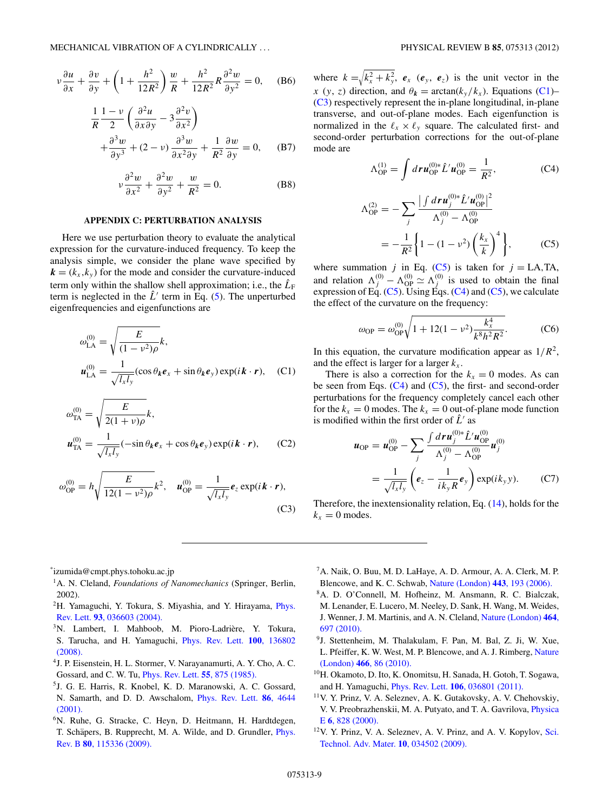<span id="page-8-0"></span>
$$
v\frac{\partial u}{\partial x} + \frac{\partial v}{\partial y} + \left(1 + \frac{h^2}{12R^2}\right)\frac{w}{R} + \frac{h^2}{12R^2}R\frac{\partial^2 w}{\partial y^2} = 0, \quad (B6)
$$

$$
\frac{1}{R} \frac{1 - v}{2} \left( \frac{\partial^2 u}{\partial x \partial y} - 3 \frac{\partial^2 v}{\partial x^2} \right) + \frac{\partial^3 w}{\partial y^3} + (2 - v) \frac{\partial^3 w}{\partial x^2 \partial y} + \frac{1}{R^2} \frac{\partial w}{\partial y} = 0, \quad (B7)
$$

$$
v\frac{\partial^2 w}{\partial x^2} + \frac{\partial^2 w}{\partial y^2} + \frac{w}{R^2} = 0.
$$
 (B8)

## **APPENDIX C: PERTURBATION ANALYSIS**

Here we use perturbation theory to evaluate the analytical expression for the curvature-induced frequency. To keep the analysis simple, we consider the plane wave specified by  $\mathbf{k} = (k_x, k_y)$  for the mode and consider the curvature-induced term only within the shallow shell approximation; i.e., the  $\hat{L}_F$ term is neglected in the  $\hat{L}'$  term in Eq. [\(5\)](#page-2-0). The unperturbed eigenfrequencies and eigenfunctions are

$$
\omega_{LA}^{(0)} = \sqrt{\frac{E}{(1 - v^2)\rho}} k,
$$
  

$$
u_{LA}^{(0)} = \frac{1}{\sqrt{l_x l_y}} (\cos \theta_k e_x + \sin \theta_k e_y) \exp(i\mathbf{k} \cdot \mathbf{r}), \quad (C1)
$$

$$
\omega_{\text{TA}}^{(0)} = \sqrt{\frac{E}{2(1+\nu)\rho}} k,
$$
  

$$
u_{\text{TA}}^{(0)} = \frac{1}{\sqrt{l_x l_y}} (-\sin \theta_k e_x + \cos \theta_k e_y) \exp(i\mathbf{k} \cdot \mathbf{r}), \qquad (C2)
$$

$$
\omega_{\rm OP}^{(0)} = h \sqrt{\frac{E}{12(1 - v^2)\rho}} k^2, \quad \mathbf{u}_{\rm OP}^{(0)} = \frac{1}{\sqrt{l_x l_y}} \mathbf{e}_z \exp(i\mathbf{k} \cdot \mathbf{r}), \tag{C3}
$$

where  $k = \sqrt{k_x^2 + k_y^2}$ ,  $e_x$  ( $e_y$ ,  $e_z$ ) is the unit vector in the *x* (*y*, *z*) direction, and  $\theta_k = \arctan(k_y/k_x)$ . Equations (C1)– (C3) respectively represent the in-plane longitudinal, in-plane transverse, and out-of-plane modes. Each eigenfunction is normalized in the  $\ell_x \times \ell_y$  square. The calculated first- and second-order perturbation corrections for the out-of-plane mode are

$$
\Lambda_{\rm OP}^{(1)} = \int d\mathbf{r} \, \mathbf{u}_{\rm OP}^{(0)*} \hat{L}' \mathbf{u}_{\rm OP}^{(0)} = \frac{1}{R^2},\tag{C4}
$$

$$
\Lambda_{\text{OP}}^{(2)} = -\sum_{j} \frac{\left| \int d\mathbf{r} \mathbf{u}_{j}^{(0)*} \hat{L}' \mathbf{u}_{\text{OP}}^{(0)} \right|^{2}}{\Lambda_{j}^{(0)} - \Lambda_{\text{OP}}^{(0)}}
$$
  
= 
$$
-\frac{1}{R^{2}} \left\{ 1 - (1 - \nu^{2}) \left( \frac{k_{x}}{k} \right)^{4} \right\},
$$
(C5)

where summation *j* in Eq. (C5) is taken for  $j = LA$ , TA, and relation  $\Lambda_j^{(0)} - \Lambda_{\text{OP}}^{(0)} \simeq \Lambda_j^{(0)}$  is used to obtain the final expression of Eq. (C5). Using Eqs. (C4) and (C5), we calculate the effect of the curvature on the frequency:

$$
\omega_{\rm OP} = \omega_{\rm OP}^{(0)} \sqrt{1 + 12(1 - \nu^2) \frac{k_x^4}{k^8 h^2 R^2}}.
$$
 (C6)

In this equation, the curvature modification appear as  $1/R^2$ , and the effect is larger for a larger  $k_x$ .

There is also a correction for the  $k_x = 0$  modes. As can be seen from Eqs.  $(C4)$  and  $(C5)$ , the first- and second-order perturbations for the frequency completely cancel each other for the  $k_x = 0$  modes. The  $k_x = 0$  out-of-plane mode function is modified within the first order of  $\hat{L}'$  as

$$
\mathbf{u}_{\rm OP} = \mathbf{u}_{\rm OP}^{(0)} - \sum_j \frac{\int d\mathbf{r} \mathbf{u}_j^{(0)*} \hat{L}' \mathbf{u}_{\rm OP}^{(0)}}{\Lambda_j^{(0)} - \Lambda_{\rm OP}^{(0)}} \mathbf{u}_j^{(0)}
$$
  
= 
$$
\frac{1}{\sqrt{l_x l_y}} \left( \mathbf{e}_z - \frac{1}{i k_y R} \mathbf{e}_y \right) \exp(i k_y y). \tag{C7}
$$

Therefore, the inextensionality relation, Eq. [\(14\)](#page-4-0), holds for the  $k_x = 0$  modes.

\* izumida@cmpt.phys.tohoku.ac.jp

- <sup>1</sup>A. N. Cleland, *Foundations of Nanomechanics* (Springer, Berlin, 2002).
- <sup>2</sup>H. Yamaguchi, Y. Tokura, S. Miyashia, and Y. Hirayama, *[Phys.](http://dx.doi.org/10.1103/PhysRevLett.93.036603)* Rev. Lett. **93**[, 036603 \(2004\).](http://dx.doi.org/10.1103/PhysRevLett.93.036603)
- <sup>3</sup>N. Lambert, I. Mahboob, M. Pioro-Ladrière, Y. Tokura, S. Tarucha, and H. Yamaguchi, [Phys. Rev. Lett.](http://dx.doi.org/10.1103/PhysRevLett.100.136802) **100**, 136802 [\(2008\).](http://dx.doi.org/10.1103/PhysRevLett.100.136802)
- 4J. P. Eisenstein, H. L. Stormer, V. Narayanamurti, A. Y. Cho, A. C. Gossard, and C. W. Tu, [Phys. Rev. Lett.](http://dx.doi.org/10.1103/PhysRevLett.55.875) **55**, 875 (1985).
- <sup>5</sup>J. G. E. Harris, R. Knobel, K. D. Maranowski, A. C. Gossard, N. Samarth, and D. D. Awschalom, [Phys. Rev. Lett.](http://dx.doi.org/10.1103/PhysRevLett.86.4644) **86**, 4644 [\(2001\).](http://dx.doi.org/10.1103/PhysRevLett.86.4644)
- <sup>6</sup>N. Ruhe, G. Stracke, C. Heyn, D. Heitmann, H. Hardtdegen, T. Schäpers, B. Rupprecht, M. A. Wilde, and D. Grundler, *[Phys.](http://dx.doi.org/10.1103/PhysRevB.80.115336)* Rev. B **80**[, 115336 \(2009\).](http://dx.doi.org/10.1103/PhysRevB.80.115336)
- ${}^{7}$ A. Naik, O. Buu, M. D. LaHaye, A. D. Armour, A. A. Clerk, M. P. Blencowe, and K. C. Schwab, [Nature \(London\)](http://dx.doi.org/10.1038/nature05027) **443**, 193 (2006).
- 8A. D. O'Connell, M. Hofheinz, M. Ansmann, R. C. Bialczak, M. Lenander, E. Lucero, M. Neeley, D. Sank, H. Wang, M. Weides, J. Wenner, J. M. Martinis, and A. N. Cleland, [Nature \(London\)](http://dx.doi.org/10.1038/nature08967) **464**, [697 \(2010\).](http://dx.doi.org/10.1038/nature08967)
- 9J. Stettenheim, M. Thalakulam, F. Pan, M. Bal, Z. Ji, W. Xue, L. Pfeiffer, K. W. West, M. P. Blencowe, and A. J. Rimberg, [Nature](http://dx.doi.org/10.1038/nature09123) (London) **466**[, 86 \(2010\).](http://dx.doi.org/10.1038/nature09123)
- 10H. Okamoto, D. Ito, K. Onomitsu, H. Sanada, H. Gotoh, T. Sogawa, and H. Yamaguchi, Phys. Rev. Lett. **106**[, 036801 \(2011\).](http://dx.doi.org/10.1103/PhysRevLett.106.036801)
- 11V. Y. Prinz, V. A. Seleznev, A. K. Gutakovsky, A. V. Chehovskiy, V. V. Preobrazhenskii, M. A. Putyato, and T. A. Gavrilova, [Physica](http://dx.doi.org/10.1016/S1386-9477(99)00249-0) E **6**[, 828 \(2000\).](http://dx.doi.org/10.1016/S1386-9477(99)00249-0)
- $12V$ . Y. Prinz, V. A. Seleznev, A. V. Prinz, and A. V. Kopylov, [Sci.](http://dx.doi.org/10.1088/1468-6996/10/3/034502) [Technol. Adv. Mater.](http://dx.doi.org/10.1088/1468-6996/10/3/034502) **10**, 034502 (2009).